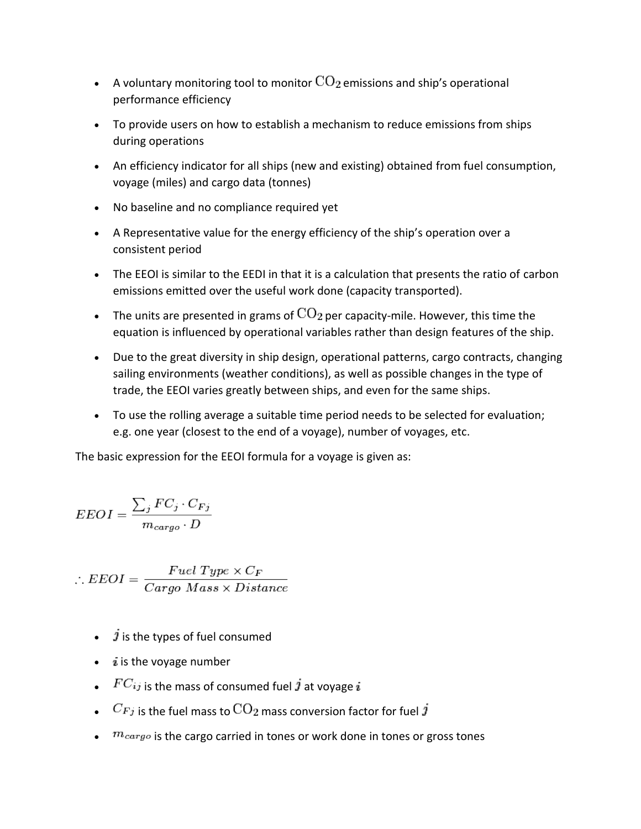- A voluntary monitoring tool to monitor  $\text{CO}_2$  emissions and ship's operational performance efficiency
- To provide users on how to establish a mechanism to reduce emissions from ships during operations
- An efficiency indicator for all ships (new and existing) obtained from fuel consumption, voyage (miles) and cargo data (tonnes)
- No baseline and no compliance required yet
- A Representative value for the energy efficiency of the ship's operation over a consistent period
- The EEOI is similar to the EEDI in that it is a calculation that presents the ratio of carbon emissions emitted over the useful work done (capacity transported).
- The units are presented in grams of  $\text{CO}_2$  per capacity-mile. However, this time the equation is influenced by operational variables rather than design features of the ship.
- Due to the great diversity in ship design, operational patterns, cargo contracts, changing sailing environments (weather conditions), as well as possible changes in the type of trade, the EEOI varies greatly between ships, and even for the same ships.
- To use the rolling average a suitable time period needs to be selected for evaluation; e.g. one year (closest to the end of a voyage), number of voyages, etc.

The basic expression for the EEOI formula for a voyage is given as:

$$
EEOI = \frac{\sum_{j} FC_{j} \cdot C_{Fj}}{m_{cargo} \cdot D}
$$

 $\therefore EEOI = \frac{Fuel \ Type \times C_F}{Cargo \ Mass \times Distance}$ 

- $\hat{j}$  is the types of fuel consumed
- $\bullet$  *i* is the voyage number
- $FC_{ij}$  is the mass of consumed fuel  $j$  at voyage  $i$
- $\bullet$   $C_{Fj}$  is the fuel mass to  $\text{CO}_2$  mass conversion factor for fuel  $j$
- $\bullet$   $m_{cargo}$  is the cargo carried in tones or work done in tones or gross tones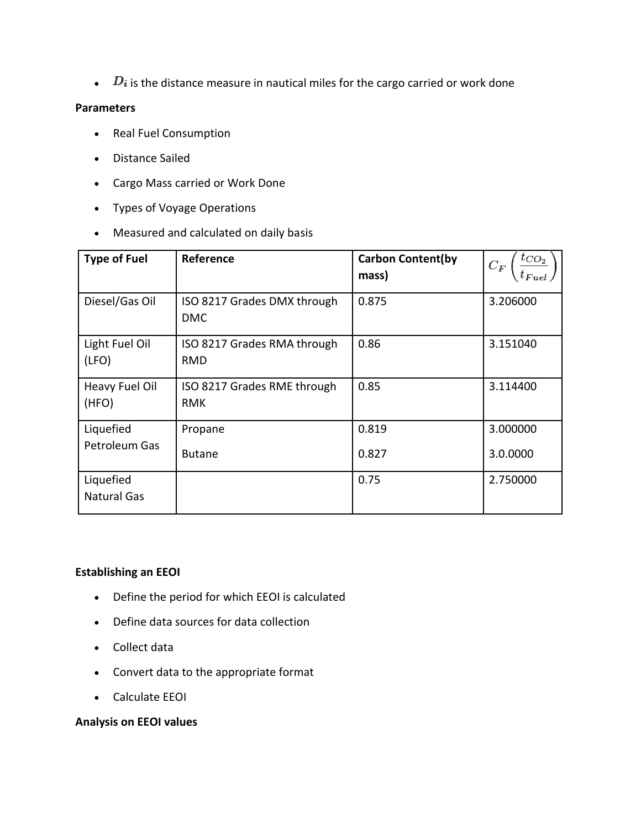$\bullet$   $\quad$   $\,D_i$  is the distance measure in nautical miles for the cargo carried or work done

## **Parameters**

- Real Fuel Consumption
- Distance Sailed
- Cargo Mass carried or Work Done
- Types of Voyage Operations
- Measured and calculated on daily basis

| <b>Type of Fuel</b>             | <b>Reference</b>                          | <b>Carbon Content(by</b><br>mass) | $t_{CO_2}$<br>$C_F$ |
|---------------------------------|-------------------------------------------|-----------------------------------|---------------------|
| Diesel/Gas Oil                  | ISO 8217 Grades DMX through<br><b>DMC</b> | 0.875                             | 3.206000            |
| Light Fuel Oil<br>(LFO)         | ISO 8217 Grades RMA through<br>RMD        | 0.86                              | 3.151040            |
| Heavy Fuel Oil<br>(HFO)         | ISO 8217 Grades RME through<br><b>RMK</b> | 0.85                              | 3.114400            |
| Liquefied                       | Propane                                   | 0.819                             | 3.000000            |
| Petroleum Gas                   | <b>Butane</b>                             | 0.827                             | 3.0.0000            |
| Liquefied<br><b>Natural Gas</b> |                                           | 0.75                              | 2.750000            |

# **Establishing an EEOI**

- Define the period for which EEOI is calculated
- Define data sources for data collection
- Collect data
- Convert data to the appropriate format
- Calculate EEOI

# **Analysis on EEOI values**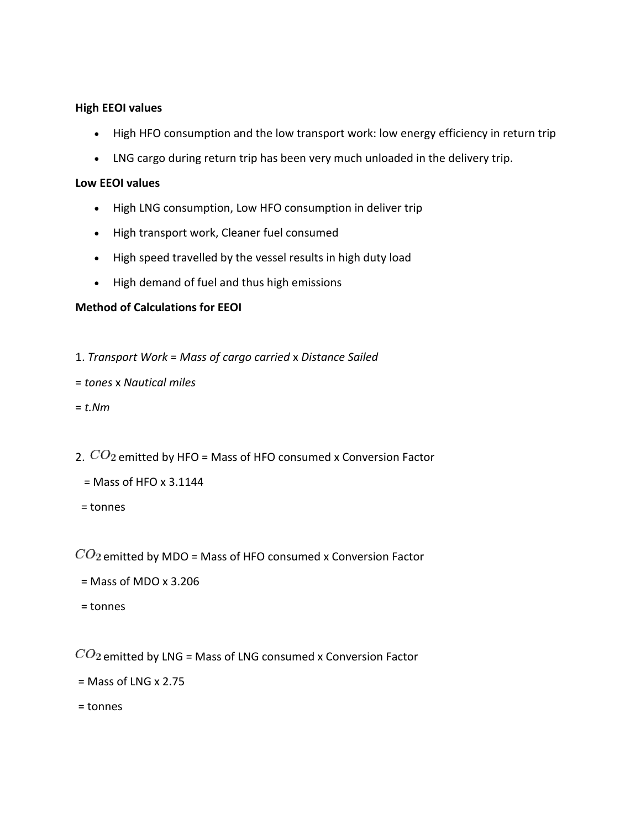#### **High EEOI values**

- High HFO consumption and the low transport work: low energy efficiency in return trip
- LNG cargo during return trip has been very much unloaded in the delivery trip.

#### **Low EEOI values**

- High LNG consumption, Low HFO consumption in deliver trip
- High transport work, Cleaner fuel consumed
- High speed travelled by the vessel results in high duty load
- High demand of fuel and thus high emissions

## **Method of Calculations for EEOI**

- 1. *Transport Work* = *Mass of cargo carried* x *Distance Sailed*
- = *tones* x *Nautical miles*
- = *t.Nm*
- 2.  $CO<sub>2</sub>$  emitted by HFO = Mass of HFO consumed x Conversion Factor
	- $=$  Mass of HFO x 3.1144
	- = tonnes

 $CO_2$  emitted by MDO = Mass of HFO consumed x Conversion Factor

- $=$  Mass of MDO  $\times$  3.206
- = tonnes

 $CO<sub>2</sub>$  emitted by LNG = Mass of LNG consumed x Conversion Factor

- $=$  Mass of LNG x 2.75
- = tonnes